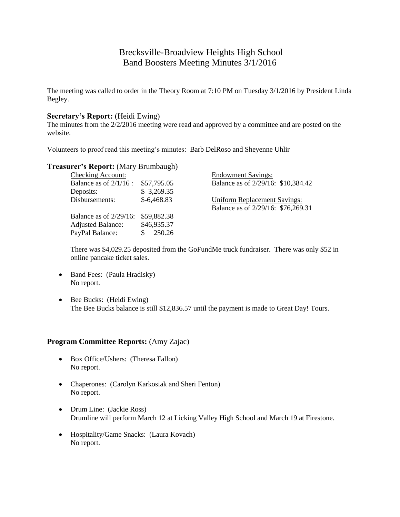# Brecksville-Broadview Heights High School Band Boosters Meeting Minutes 3/1/2016

The meeting was called to order in the Theory Room at 7:10 PM on Tuesday 3/1/2016 by President Linda Begley.

## **Secretary's Report:** (Heidi Ewing)

The minutes from the 2/2/2016 meeting were read and approved by a committee and are posted on the website.

Volunteers to proof read this meeting's minutes: Barb DelRoso and Sheyenne Uhlir

## **Treasurer's Report:** (Mary Brumbaugh)

| <b>Checking Account:</b>  |              | <b>Endowment Savings:</b>           |
|---------------------------|--------------|-------------------------------------|
| Balance as of $2/1/16$ :  | \$57,795.05  | Balance as of 2/29/16: \$10,384.42  |
| Deposits:                 | \$3,269.35   |                                     |
| Disbursements:            | $$-6,468.83$ | <b>Uniform Replacement Savings:</b> |
|                           |              | Balance as of 2/29/16: \$76,269.31  |
| Balance as of $2/29/16$ : | \$59,882.38  |                                     |
| <b>Adjusted Balance:</b>  | \$46,935.37  |                                     |
| PayPal Balance:           | 250.26       |                                     |

There was \$4,029.25 deposited from the GoFundMe truck fundraiser. There was only \$52 in online pancake ticket sales.

- Band Fees: (Paula Hradisky) No report.
- Bee Bucks: (Heidi Ewing) The Bee Bucks balance is still \$12,836.57 until the payment is made to Great Day! Tours.

#### **Program Committee Reports:** (Amy Zajac)

- Box Office/Ushers: (Theresa Fallon) No report.
- Chaperones: (Carolyn Karkosiak and Sheri Fenton) No report.
- Drum Line: (Jackie Ross) Drumline will perform March 12 at Licking Valley High School and March 19 at Firestone.
- Hospitality/Game Snacks: (Laura Kovach) No report.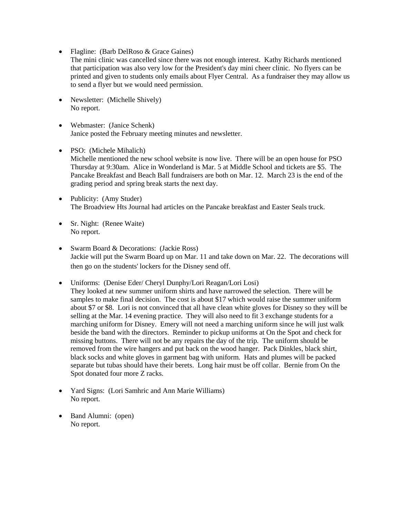- Flagline: (Barb DelRoso & Grace Gaines)
- The mini clinic was cancelled since there was not enough interest. Kathy Richards mentioned that participation was also very low for the President's day mini cheer clinic. No flyers can be printed and given to students only emails about Flyer Central. As a fundraiser they may allow us to send a flyer but we would need permission.
- Newsletter: (Michelle Shively) No report.
- Webmaster: (Janice Schenk) Janice posted the February meeting minutes and newsletter.
- PSO: (Michele Mihalich) Michelle mentioned the new school website is now live. There will be an open house for PSO Thursday at 9:30am. Alice in Wonderland is Mar. 5 at Middle School and tickets are \$5. The Pancake Breakfast and Beach Ball fundraisers are both on Mar. 12. March 23 is the end of the grading period and spring break starts the next day.
- Publicity: (Amy Studer) The Broadview Hts Journal had articles on the Pancake breakfast and Easter Seals truck.
- Sr. Night: (Renee Waite) No report.
- Swarm Board & Decorations: (Jackie Ross) Jackie will put the Swarm Board up on Mar. 11 and take down on Mar. 22. The decorations will then go on the students' lockers for the Disney send off.
- Uniforms: (Denise Eder/ Cheryl Dunphy/Lori Reagan/Lori Losi)
	- They looked at new summer uniform shirts and have narrowed the selection. There will be samples to make final decision. The cost is about \$17 which would raise the summer uniform about \$7 or \$8. Lori is not convinced that all have clean white gloves for Disney so they will be selling at the Mar. 14 evening practice. They will also need to fit 3 exchange students for a marching uniform for Disney. Emery will not need a marching uniform since he will just walk beside the band with the directors. Reminder to pickup uniforms at On the Spot and check for missing buttons. There will not be any repairs the day of the trip. The uniform should be removed from the wire hangers and put back on the wood hanger. Pack Dinkles, black shirt, black socks and white gloves in garment bag with uniform. Hats and plumes will be packed separate but tubas should have their berets. Long hair must be off collar. Bernie from On the Spot donated four more Z racks.
- Yard Signs: (Lori Samhric and Ann Marie Williams) No report.
- Band Alumni: (open) No report.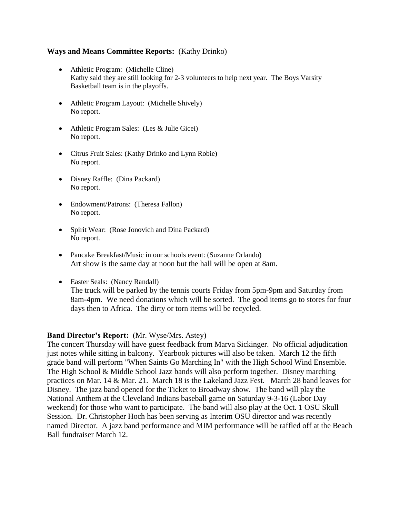## **Ways and Means Committee Reports:** (Kathy Drinko)

- Athletic Program: (Michelle Cline) Kathy said they are still looking for 2-3 volunteers to help next year. The Boys Varsity Basketball team is in the playoffs.
- Athletic Program Layout: (Michelle Shively) No report.
- Athletic Program Sales: (Les & Julie Gicei) No report.
- Citrus Fruit Sales: (Kathy Drinko and Lynn Robie) No report.
- Disney Raffle: (Dina Packard) No report.
- Endowment/Patrons: (Theresa Fallon) No report.
- Spirit Wear: (Rose Jonovich and Dina Packard) No report.
- Pancake Breakfast/Music in our schools event: (Suzanne Orlando) Art show is the same day at noon but the hall will be open at 8am.
- Easter Seals: (Nancy Randall) The truck will be parked by the tennis courts Friday from 5pm-9pm and Saturday from 8am-4pm. We need donations which will be sorted. The good items go to stores for four days then to Africa. The dirty or torn items will be recycled.

## **Band Director's Report:** (Mr. Wyse/Mrs. Astey)

The concert Thursday will have guest feedback from Marva Sickinger. No official adjudication just notes while sitting in balcony. Yearbook pictures will also be taken. March 12 the fifth grade band will perform "When Saints Go Marching In" with the High School Wind Ensemble. The High School & Middle School Jazz bands will also perform together. Disney marching practices on Mar. 14 & Mar. 21. March 18 is the Lakeland Jazz Fest. March 28 band leaves for Disney. The jazz band opened for the Ticket to Broadway show. The band will play the National Anthem at the Cleveland Indians baseball game on Saturday 9-3-16 (Labor Day weekend) for those who want to participate. The band will also play at the Oct. 1 OSU Skull Session. Dr. Christopher Hoch has been serving as Interim OSU director and was recently named Director. A jazz band performance and MIM performance will be raffled off at the Beach Ball fundraiser March 12.